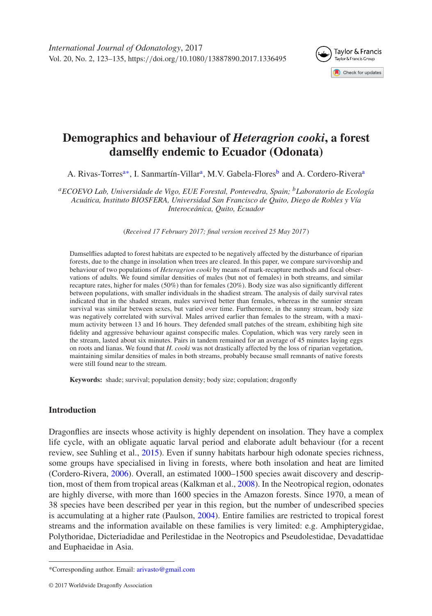<span id="page-0-2"></span>

# **Demographics and behaviour of** *Heteragrion cooki***, a forest damselfly endemic to Ecuador (Odonata)**

A. Rivas-Torres<sup>a[∗](#page-0-1)</sup>, I. Sanmartín-Villar<sup>a</sup>, M.V. Gabela-Flores<sup>b</sup> and A. Cordero-Rive[ra](#page-0-0)<sup>[a](#page-0-0)</sup>

<span id="page-0-0"></span>*aECOEVO Lab, Universidade de Vigo, EUE Forestal, Pontevedra, Spain; bLaboratorio de Ecología Acuática, Instituto BIOSFERA, Universidad San Francisco de Quito, Diego de Robles y Vía Interoceánica, Quito, Ecuador*

(*Received 17 February 2017; final version received 25 May 2017* )

Damselflies adapted to forest habitats are expected to be negatively affected by the disturbance of riparian forests, due to the change in insolation when trees are cleared. In this paper, we compare survivorship and behaviour of two populations of *Heteragrion cooki* by means of mark-recapture methods and focal observations of adults. We found similar densities of males (but not of females) in both streams, and similar recapture rates, higher for males (50%) than for females (20%). Body size was also significantly different between populations, with smaller individuals in the shadiest stream. The analysis of daily survival rates indicated that in the shaded stream, males survived better than females, whereas in the sunnier stream survival was similar between sexes, but varied over time. Furthermore, in the sunny stream, body size was negatively correlated with survival. Males arrived earlier than females to the stream, with a maximum activity between 13 and 16 hours. They defended small patches of the stream, exhibiting high site fidelity and aggressive behaviour against conspecific males. Copulation, which was very rarely seen in the stream, lasted about six minutes. Pairs in tandem remained for an average of 45 minutes laying eggs on roots and lianas. We found that *H. cooki* was not drastically affected by the loss of riparian vegetation, maintaining similar densities of males in both streams, probably because small remnants of native forests were still found near to the stream.

**Keywords:** shade; survival; population density; body size; copulation; dragonfly

## **Introduction**

Dragonflies are insects whose activity is highly dependent on insolation. They have a complex life cycle, with an obligate aquatic larval period and elaborate adult behaviour (for a recent review, see Suhling et al., [2015\)](#page-11-0). Even if sunny habitats harbour high odonate species richness, some groups have specialised in living in forests, where both insolation and heat are limited (Cordero-Rivera, [2006\)](#page-10-0). Overall, an estimated 1000–1500 species await discovery and description, most of them from tropical areas (Kalkman et al., [2008\)](#page-11-1). In the Neotropical region, odonates are highly diverse, with more than 1600 species in the Amazon forests. Since 1970, a mean of 38 species have been described per year in this region, but the number of undescribed species is accumulating at a higher rate (Paulson, [2004\)](#page-11-2). Entire families are restricted to tropical forest streams and the information available on these families is very limited: e.g. Amphipterygidae, Polythoridae, Dicteriadidae and Perilestidae in the Neotropics and Pseudolestidae, Devadattidae and Euphaeidae in Asia.

<span id="page-0-1"></span><sup>\*</sup>Corresponding author. Email: [arivasto@gmail.com](mailto:arivasto@gmail.com)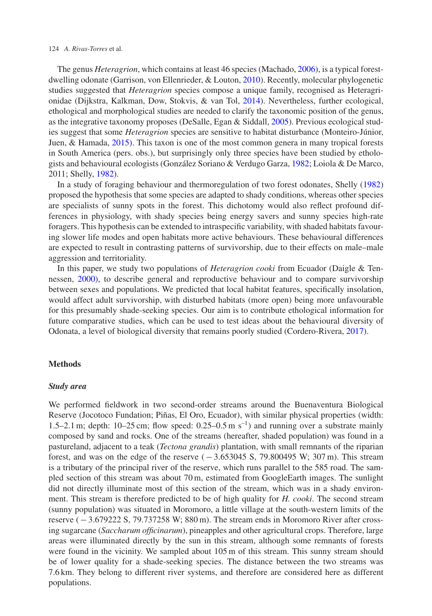#### 124 *A. Rivas-Torres* et al.

The genus *Heteragrion*, which contains at least 46 species (Machado, [2006\)](#page-11-3), is a typical forestdwelling odonate (Garrison, von Ellenrieder, & Louton, [2010\)](#page-11-4). Recently, molecular phylogenetic studies suggested that *Heteragrion* species compose a unique family, recognised as Heteragrionidae (Dijkstra, Kalkman, Dow, Stokvis, & van Tol, [2014\)](#page-11-5). Nevertheless, further ecological, ethological and morphological studies are needed to clarify the taxonomic position of the genus, as the integrative taxonomy proposes (DeSalle, Egan & Siddall, [2005\)](#page-11-6). Previous ecological studies suggest that some *Heteragrion* species are sensitive to habitat disturbance (Monteiro-Júnior, Juen, & Hamada, [2015\)](#page-11-7). This taxon is one of the most common genera in many tropical forests in South America (pers. obs.), but surprisingly only three species have been studied by ethologists and behavioural ecologists (González Soriano & Verdugo Garza, [1982;](#page-11-8) Loiola & De Marco, 2011; Shelly, [1982\)](#page-11-9).

In a study of foraging behaviour and thermoregulation of two forest odonates, Shelly [\(1982\)](#page-11-9) proposed the hypothesis that some species are adapted to shady conditions, whereas other species are specialists of sunny spots in the forest. This dichotomy would also reflect profound differences in physiology, with shady species being energy savers and sunny species high-rate foragers. This hypothesis can be extended to intraspecific variability, with shaded habitats favouring slower life modes and open habitats more active behaviours. These behavioural differences are expected to result in contrasting patterns of survivorship, due to their effects on male–male aggression and territoriality.

In this paper, we study two populations of *Heteragrion cooki* from Ecuador (Daigle & Tennessen, [2000\)](#page-10-1), to describe general and reproductive behaviour and to compare survivorship between sexes and populations. We predicted that local habitat features, specifically insolation, would affect adult survivorship, with disturbed habitats (more open) being more unfavourable for this presumably shade-seeking species. Our aim is to contribute ethological information for future comparative studies, which can be used to test ideas about the behavioural diversity of Odonata, a level of biological diversity that remains poorly studied (Cordero-Rivera, [2017\)](#page-10-2).

## **Methods**

### *Study area*

We performed fieldwork in two second-order streams around the Buenaventura Biological Reserve (Jocotoco Fundation; Piñas, El Oro, Ecuador), with similar physical properties (width: 1.5–2.1 m; depth:  $10-25$  cm; flow speed:  $0.25-0.5$  m s<sup>-1</sup>) and running over a substrate mainly composed by sand and rocks. One of the streams (hereafter, shaded population) was found in a pastureland, adjacent to a teak (*Tectona grandis*) plantation, with small remnants of the riparian forest, and was on the edge of the reserve  $(-3.653045 \text{ S}, 79.800495 \text{ W}; 307 \text{ m})$ . This stream is a tributary of the principal river of the reserve, which runs parallel to the 585 road. The sampled section of this stream was about 70 m, estimated from GoogleEarth images. The sunlight did not directly illuminate most of this section of the stream, which was in a shady environment. This stream is therefore predicted to be of high quality for *H. cooki*. The second stream (sunny population) was situated in Moromoro, a little village at the south-western limits of the reserve (−3.679222 S, 79.737258 W; 880 m). The stream ends in Moromoro River after crossing sugarcane (*Saccharum officinarum*), pineapples and other agricultural crops. Therefore, large areas were illuminated directly by the sun in this stream, although some remnants of forests were found in the vicinity. We sampled about 105 m of this stream. This sunny stream should be of lower quality for a shade-seeking species. The distance between the two streams was 7.6 km. They belong to different river systems, and therefore are considered here as different populations.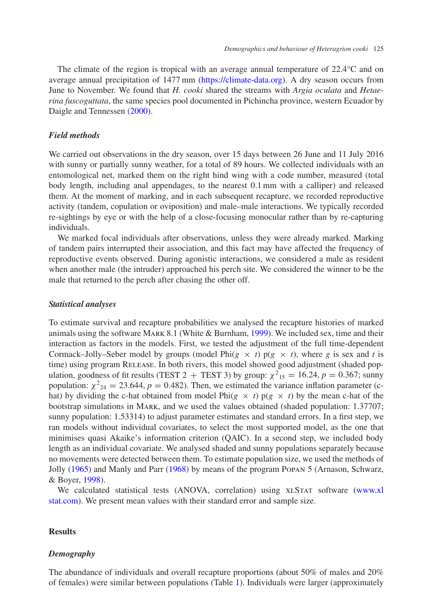The climate of the region is tropical with an average annual temperature of 22.4°C and on average annual precipitation of 1477 mm [\(https://climate-data.org\)](https://climate-data.org). A dry season occurs from June to November. We found that *H. cooki* shared the streams with *Argia oculata* and *Hetaerina fuscoguttata*, the same species pool documented in Pichincha province, western Ecuador by Daigle and Tennessen [\(2000\)](#page-10-1).

## *Field methods*

We carried out observations in the dry season, over 15 days between 26 June and 11 July 2016 with sunny or partially sunny weather, for a total of 89 hours. We collected individuals with an entomological net, marked them on the right hind wing with a code number, measured (total body length, including anal appendages, to the nearest 0.1 mm with a calliper) and released them. At the moment of marking, and in each subsequent recapture, we recorded reproductive activity (tandem, copulation or oviposition) and male–male interactions. We typically recorded re-sightings by eye or with the help of a close-focusing monocular rather than by re-capturing individuals.

We marked focal individuals after observations, unless they were already marked. Marking of tandem pairs interrupted their association, and this fact may have affected the frequency of reproductive events observed. During agonistic interactions, we considered a male as resident when another male (the intruder) approached his perch site. We considered the winner to be the male that returned to the perch after chasing the other off.

### *Statistical analyses*

To estimate survival and recapture probabilities we analysed the recapture histories of marked animals using the software MARK 8.1 (White  $&$  Burnham, [1999\)](#page-12-0). We included sex, time and their interaction as factors in the models. First, we tested the adjustment of the full time-dependent Cormack–Jolly–Seber model by groups (model Phi $(g \times t)$  p( $g \times t$ ), where  $g$  is sex and  $t$  is time) using program RELEASE. In both rivers, this model showed good adjustment (shaded population, goodness of fit results (TEST 2 + TEST 3) by group:  $\chi^2_{15} = 16.24$ ,  $p = 0.367$ ; sunny population:  $\chi^2_{24} = 23.644$ ,  $p = 0.482$ ). Then, we estimated the variance inflation parameter (chat) by dividing the c-hat obtained from model Phi( $g \times t$ ) p( $g \times t$ ) by the mean c-hat of the bootstrap simulations in Mark, and we used the values obtained (shaded population: 1.37707; sunny population: 1.53314) to adjust parameter estimates and standard errors. In a first step, we ran models without individual covariates, to select the most supported model, as the one that minimises quasi Akaike's information criterion (QAIC). In a second step, we included body length as an individual covariate. We analysed shaded and sunny populations separately because no movements were detected between them. To estimate population size, we used the methods of Jolly [\(1965\)](#page-11-10) and Manly and Parr [\(1968\)](#page-11-11) by means of the program Popan 5 (Arnason, Schwarz, & Boyer, [1998\)](#page-10-3).

We calculated statistical tests (ANOVA, correlation) using XLSTAT software [\(www.xl](http://www.xlstat.com) [stat.com\)](http://www.xlstat.com). We present mean values with their standard error and sample size.

## **Results**

## *Demography*

The abundance of individuals and overall recapture proportions (about 50% of males and 20% of females) were similar between populations (Table [1\)](#page-3-0). Individuals were larger (approximately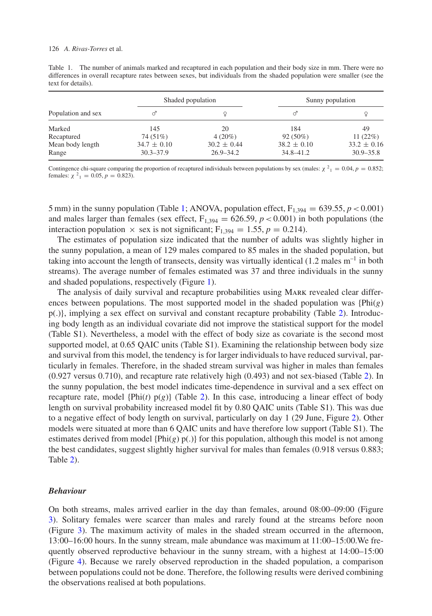<span id="page-3-0"></span>Table 1. The number of animals marked and recaptured in each population and their body size in mm. There were no differences in overall recapture rates between sexes, but individuals from the shaded population were smaller (see the text for details).

| Population and sex |                 | Shaded population | Sunny population |                 |  |
|--------------------|-----------------|-------------------|------------------|-----------------|--|
|                    |                 |                   |                  |                 |  |
| Marked             | 145             | 20                | 184              | 49              |  |
| Recaptured         | 74 (51%)        | $4(20\%)$         | $92(50\%)$       | 11(22%)         |  |
| Mean body length   | $34.7 \pm 0.10$ | $30.2 \pm 0.44$   | $38.2 \pm 0.10$  | $33.2 \pm 0.16$ |  |
| Range              | $30.3 - 37.9$   | $26.9 - 34.2$     | $34.8 - 41.2$    | $30.9 - 35.8$   |  |

Contingence chi-square comparing the proportion of recaptured individuals between populations by sex (males:  $\chi^2_1 = 0.04$ ,  $p = 0.852$ ; females:  $\chi^2$ <sub>1</sub> = 0.05, *p* = 0.823).

5 mm) in the sunny population (Table [1;](#page-3-0) ANOVA, population effect,  $F_{1,394} = 639.55$ ,  $p < 0.001$ ) and males larger than females (sex effect,  $F_{1,394} = 626.59$ ,  $p < 0.001$ ) in both populations (the interaction population  $\times$  sex is not significant; F<sub>1,394</sub> = 1.55, *p* = 0.214).

The estimates of population size indicated that the number of adults was slightly higher in the sunny population, a mean of 129 males compared to 85 males in the shaded population, but taking into account the length of transects, density was virtually identical  $(1.2 \text{ males m}^{-1} \text{ in both})$ streams). The average number of females estimated was 37 and three individuals in the sunny and shaded populations, respectively (Figure [1\)](#page-4-0).

The analysis of daily survival and recapture probabilities using Mark revealed clear differences between populations. The most supported model in the shaded population was {Phi(*g*) p(.)}, implying a sex effect on survival and constant recapture probability (Table [2\)](#page-5-0). Introducing body length as an individual covariate did not improve the statistical support for the model (Table S1). Nevertheless, a model with the effect of body size as covariate is the second most supported model, at 0.65 QAIC units (Table S1). Examining the relationship between body size and survival from this model, the tendency is for larger individuals to have reduced survival, particularly in females. Therefore, in the shaded stream survival was higher in males than females (0.927 versus 0.710), and recapture rate relatively high (0.493) and not sex-biased (Table [2\)](#page-5-0). In the sunny population, the best model indicates time-dependence in survival and a sex effect on recapture rate, model  $\{Phi(t) p(g)\}$  (Table [2\)](#page-5-0). In this case, introducing a linear effect of body length on survival probability increased model fit by 0.80 QAIC units (Table S1). This was due to a negative effect of body length on survival, particularly on day 1 (29 June, Figure [2\)](#page-6-0). Other models were situated at more than 6 QAIC units and have therefore low support (Table S1). The estimates derived from model  $\{Phi(g) p(.)\}$  for this population, although this model is not among the best candidates, suggest slightly higher survival for males than females (0.918 versus 0.883; Table [2\)](#page-5-0).

## *Behaviour*

On both streams, males arrived earlier in the day than females, around 08:00–09:00 (Figure [3\)](#page-7-0). Solitary females were scarcer than males and rarely found at the streams before noon (Figure [3\)](#page-7-0). The maximum activity of males in the shaded stream occurred in the afternoon, 13:00–16:00 hours. In the sunny stream, male abundance was maximum at 11:00–15:00.We frequently observed reproductive behaviour in the sunny stream, with a highest at 14:00–15:00 (Figure [4\)](#page-7-1). Because we rarely observed reproduction in the shaded population, a comparison between populations could not be done. Therefore, the following results were derived combining the observations realised at both populations.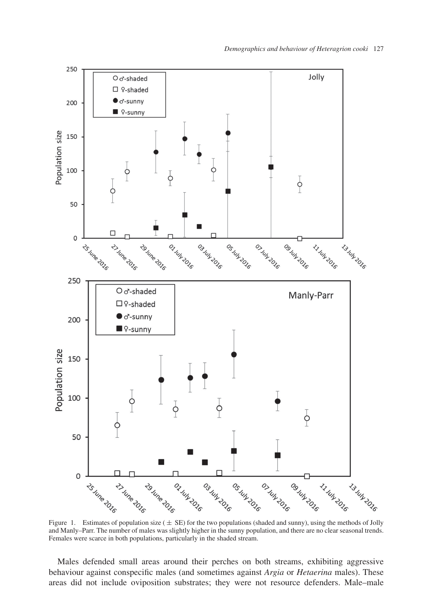

<span id="page-4-0"></span>and Manly–Parr. The number of males was slightly higher in the sunny population, and there are no clear seasonal trends. Females were scarce in both populations, particularly in the shaded stream.

Males defended small areas around their perches on both streams, exhibiting aggressive behaviour against conspecific males (and sometimes against *Argia* or *Hetaerina* males). These areas did not include oviposition substrates; they were not resource defenders. Male–male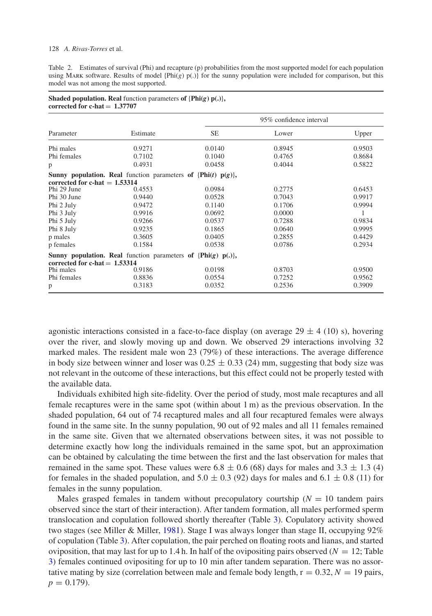#### 128 *A. Rivas-Torres* et al.

<span id="page-5-0"></span>Table 2. Estimates of survival (Phi) and recapture (p) probabilities from the most supported model for each population using Mark software. Results of model {Phi(*g*) p(.)} for the sunny population were included for comparison, but this model was not among the most supported.

| corrected for c-hat $= 1.37707$              |                                                                          |                         |        |        |  |
|----------------------------------------------|--------------------------------------------------------------------------|-------------------------|--------|--------|--|
|                                              | Estimate                                                                 | 95% confidence interval |        |        |  |
| Parameter                                    |                                                                          | <b>SE</b>               | Lower  | Upper  |  |
| Phi males                                    | 0.9271                                                                   | 0.0140                  | 0.8945 | 0.9503 |  |
| Phi females                                  | 0.7102                                                                   | 0.1040                  | 0.4765 | 0.8684 |  |
| p                                            | 0.4931                                                                   | 0.0458                  | 0.4044 | 0.5822 |  |
| corrected for c-hat $= 1.53314$              | <b>Sunny population. Real</b> function parameters of $\{Phi(t) p(g)\},\$ |                         |        |        |  |
| Phi 29 June                                  | 0.4553                                                                   | 0.0984                  | 0.2775 | 0.6453 |  |
| Phi 30 June                                  | 0.9440                                                                   | 0.0528                  | 0.7043 | 0.9917 |  |
| Phi 2 July                                   | 0.9472                                                                   | 0.1140                  | 0.1706 | 0.9994 |  |
| Phi 3 July                                   | 0.9916                                                                   | 0.0692                  | 0.0000 | 1      |  |
| Phi 5 July                                   | 0.9266                                                                   | 0.0537                  | 0.7288 | 0.9834 |  |
| Phi 8 July                                   | 0.9235                                                                   | 0.1865                  | 0.0640 | 0.9995 |  |
| p males                                      | 0.3605                                                                   | 0.0405                  | 0.2855 | 0.4429 |  |
| p females                                    | 0.1584                                                                   | 0.0538                  | 0.0786 | 0.2934 |  |
|                                              | Sunny population. Real function parameters of $\{Phi(g) p(.)\}$ ,        |                         |        |        |  |
| corrected for c-hat $= 1.53314$<br>Phi males | 0.9186                                                                   | 0.0198                  | 0.8703 | 0.9500 |  |
| Phi females                                  | 0.8836                                                                   | 0.0554                  | 0.7252 | 0.9562 |  |
| p                                            | 0.3183                                                                   | 0.0352                  | 0.2536 | 0.3909 |  |

|                                 | <b>Shaded population. Real</b> function parameters of $\{Phi(g) p(.)\}$ , |  |
|---------------------------------|---------------------------------------------------------------------------|--|
| connected for a hot $= 1.27707$ |                                                                           |  |

agonistic interactions consisted in a face-to-face display (on average  $29 \pm 4$  (10) s), hovering over the river, and slowly moving up and down. We observed 29 interactions involving 32 marked males. The resident male won 23 (79%) of these interactions. The average difference in body size between winner and loser was  $0.25 \pm 0.33$  (24) mm, suggesting that body size was not relevant in the outcome of these interactions, but this effect could not be properly tested with the available data.

Individuals exhibited high site-fidelity. Over the period of study, most male recaptures and all female recaptures were in the same spot (within about 1 m) as the previous observation. In the shaded population, 64 out of 74 recaptured males and all four recaptured females were always found in the same site. In the sunny population, 90 out of 92 males and all 11 females remained in the same site. Given that we alternated observations between sites, it was not possible to determine exactly how long the individuals remained in the same spot, but an approximation can be obtained by calculating the time between the first and the last observation for males that remained in the same spot. These values were  $6.8 \pm 0.6$  (68) days for males and 3.3  $\pm$  1.3 (4) for females in the shaded population, and  $5.0 \pm 0.3$  (92) days for males and  $6.1 \pm 0.8$  (11) for females in the sunny population.

Males grasped females in tandem without precopulatory courtship  $(N = 10$  tandem pairs observed since the start of their interaction). After tandem formation, all males performed sperm translocation and copulation followed shortly thereafter (Table [3\)](#page-8-0). Copulatory activity showed two stages (see Miller & Miller, [1981\)](#page-11-12). Stage I was always longer than stage II, occupying 92% of copulation (Table [3\)](#page-8-0). After copulation, the pair perched on floating roots and lianas, and started oviposition, that may last for up to 1.4 h. In half of the ovipositing pairs observed ( $N = 12$ ; Table [3\)](#page-8-0) females continued ovipositing for up to 10 min after tandem separation. There was no assortative mating by size (correlation between male and female body length,  $r = 0.32$ ,  $N = 19$  pairs,  $p = 0.179$ .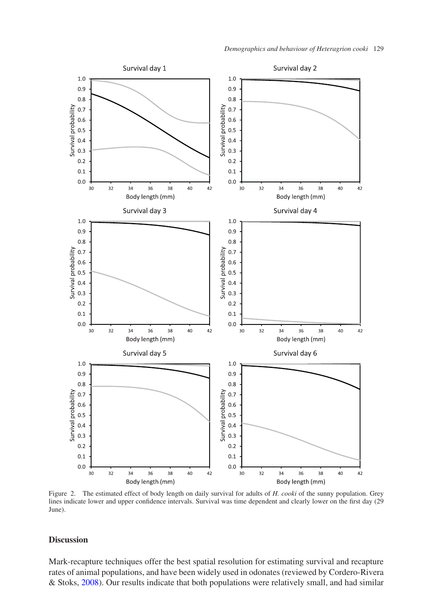

<span id="page-6-0"></span>Figure 2. The estimated effect of body length on daily survival for adults of *H. cooki* of the sunny population. Grey lines indicate lower and upper confidence intervals. Survival was time dependent and clearly lower on the first day (29 June).

## **Discussion**

Mark-recapture techniques offer the best spatial resolution for estimating survival and recapture rates of animal populations, and have been widely used in odonates (reviewed by Cordero-Rivera & Stoks, [2008\)](#page-10-4). Our results indicate that both populations were relatively small, and had similar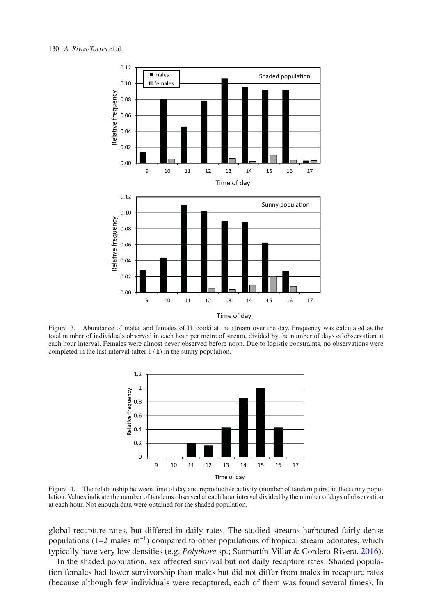

<span id="page-7-0"></span>Figure 3. Abundance of males and females of H. cooki at the stream over the day. Frequency was calculated as the total number of individuals observed in each hour per metre of stream, divided by the number of days of observation at each hour interval. Females were almost never observed before noon. Due to logistic constraints, no observations were completed in the last interval (after 17 h) in the sunny population.



<span id="page-7-1"></span>Figure 4. The relationship between time of day and reproductive activity (number of tandem pairs) in the sunny population. Values indicate the number of tandems observed at each hour interval divided by the number of days of observation at each hour. Not enough data were obtained for the shaded population.

global recapture rates, but differed in daily rates. The studied streams harboured fairly dense populations  $(1-2 \text{ males m}^{-1})$  compared to other populations of tropical stream odonates, which typically have very low densities (e.g. *Polythore* sp.; Sanmartín-Villar & Cordero-Rivera, [2016\)](#page-11-13).

In the shaded population, sex affected survival but not daily recapture rates. Shaded population females had lower survivorship than males but did not differ from males in recapture rates (because although few individuals were recaptured, each of them was found several times). In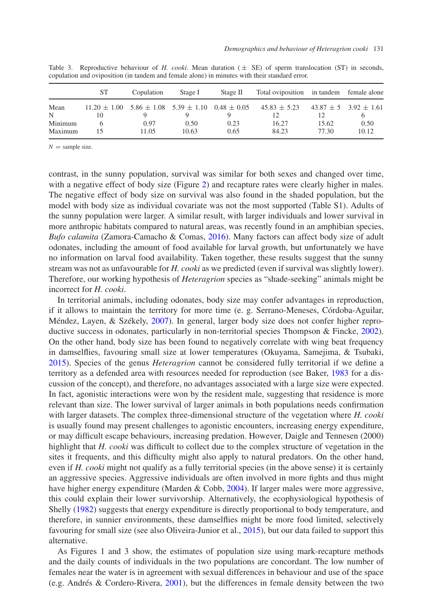|         | <b>ST</b>        | Copulation                                      | Stage I | Stage II | Total oviposition in tandem female alone |       |                               |
|---------|------------------|-------------------------------------------------|---------|----------|------------------------------------------|-------|-------------------------------|
| Mean    | $11.20 \pm 1.00$ | $5.86 \pm 1.08$ $5.39 \pm 1.10$ $0.48 \pm 0.05$ |         |          | $45.83 \pm 5.23$                         |       | $43.87 \pm 5$ $3.92 \pm 1.61$ |
| N       | 10               |                                                 |         |          |                                          |       | o                             |
| Minimum |                  | 0.97                                            | 0.50    | 0.23     | 16.27                                    | 15.62 | 0.50                          |
| Maximum |                  | 11.05                                           | 10.63   | 0.65     | 84.23                                    | 77.30 | 10.12                         |

<span id="page-8-0"></span>Table 3. Reproductive behaviour of *H. cooki*. Mean duration  $(\pm \text{ SE})$  of sperm translocation (ST) in seconds, copulation and oviposition (in tandem and female alone) in minutes with their standard error.

 $N =$  sample size.

contrast, in the sunny population, survival was similar for both sexes and changed over time, with a negative effect of body size (Figure [2\)](#page-6-0) and recapture rates were clearly higher in males. The negative effect of body size on survival was also found in the shaded population, but the model with body size as individual covariate was not the most supported (Table S1). Adults of the sunny population were larger. A similar result, with larger individuals and lower survival in more anthropic habitats compared to natural areas, was recently found in an amphibian species, *Bufo calamita* (Zamora-Camacho & Comas, [2016\)](#page-12-1). Many factors can affect body size of adult odonates, including the amount of food available for larval growth, but unfortunately we have no information on larval food availability. Taken together, these results suggest that the sunny stream was not as unfavourable for *H. cooki* as we predicted (even if survival was slightly lower). Therefore, our working hypothesis of *Heteragrion* species as "shade-seeking" animals might be incorrect for *H. cooki*.

In territorial animals, including odonates, body size may confer advantages in reproduction, if it allows to maintain the territory for more time (e. g. Serrano-Meneses, Córdoba-Aguilar, Méndez, Layen, & Székely, [2007\)](#page-11-14). In general, larger body size does not confer higher repro-ductive success in odonates, particularly in non-territorial species Thompson & Fincke, [2002\)](#page-11-15). On the other hand, body size has been found to negatively correlate with wing beat frequency in damselflies, favouring small size at lower temperatures (Okuyama, Samejima, & Tsubaki, [2015\)](#page-11-16). Species of the genus *Heteragrion* cannot be considered fully territorial if we define a territory as a defended area with resources needed for reproduction (see Baker, [1983](#page-10-5) for a discussion of the concept), and therefore, no advantages associated with a large size were expected. In fact, agonistic interactions were won by the resident male, suggesting that residence is more relevant than size. The lower survival of larger animals in both populations needs confirmation with larger datasets. The complex three-dimensional structure of the vegetation where *H. cooki* is usually found may present challenges to agonistic encounters, increasing energy expenditure, or may difficult escape behaviours, increasing predation. However, Daigle and Tennesen (2000) highlight that *H. cooki* was difficult to collect due to the complex structure of vegetation in the sites it frequents, and this difficulty might also apply to natural predators. On the other hand, even if *H. cooki* might not qualify as a fully territorial species (in the above sense) it is certainly an aggressive species. Aggressive individuals are often involved in more fights and thus might have higher energy expenditure (Marden & Cobb, [2004\)](#page-11-17). If larger males were more aggressive, this could explain their lower survivorship. Alternatively, the ecophysiological hypothesis of Shelly [\(1982\)](#page-11-9) suggests that energy expenditure is directly proportional to body temperature, and therefore, in sunnier environments, these damselflies might be more food limited, selectively favouring for small size (see also Oliveira-Junior et al., [2015\)](#page-11-18), but our data failed to support this alternative.

As Figures 1 and 3 show, the estimates of population size using mark-recapture methods and the daily counts of individuals in the two populations are concordant. The low number of females near the water is in agreement with sexual differences in behaviour and use of the space (e.g. Andrés & Cordero-Rivera, [2001\)](#page-10-6), but the differences in female density between the two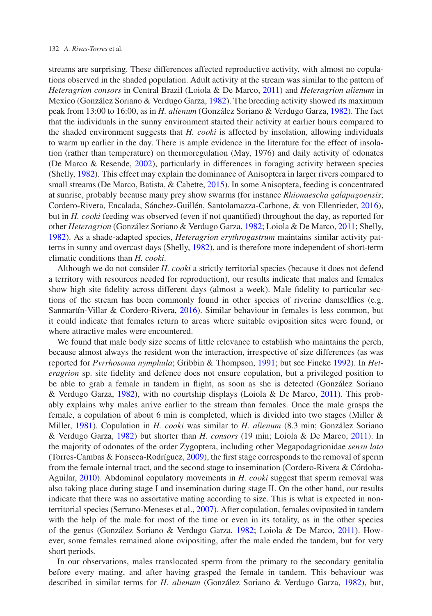streams are surprising. These differences affected reproductive activity, with almost no copulations observed in the shaded population. Adult activity at the stream was similar to the pattern of *Heteragrion consors* in Central Brazil (Loiola & De Marco, [2011\)](#page-11-19) and *Heteragrion alienum* in Mexico (González Soriano & Verdugo Garza, [1982\)](#page-11-8). The breeding activity showed its maximum peak from 13:00 to 16:00, as in *H. alienum* (González Soriano & Verdugo Garza, [1982\)](#page-11-8). The fact that the individuals in the sunny environment started their activity at earlier hours compared to the shaded environment suggests that *H. cooki* is affected by insolation, allowing individuals to warm up earlier in the day. There is ample evidence in the literature for the effect of insolation (rather than temperature) on thermoregulation (May, 1976) and daily activity of odonates (De Marco & Resende, [2002\)](#page-11-20), particularly in differences in foraging activity between species (Shelly, [1982\)](#page-11-9). This effect may explain the dominance of Anisoptera in larger rivers compared to small streams (De Marco, Batista, & Cabette, [2015\)](#page-10-7). In some Anisoptera, feeding is concentrated at sunrise, probably because many prey show swarms (for instance *Rhionaescha galapagoensis*; Cordero-Rivera, Encalada, Sánchez-Guillén, Santolamazza-Carbone, & von Ellenrieder, [2016\)](#page-10-8), but in *H. cooki* feeding was observed (even if not quantified) throughout the day, as reported for other *Heteragrion* (González Soriano & Verdugo Garza, [1982;](#page-11-8) Loiola & De Marco, [2011;](#page-11-19) Shelly, [1982\)](#page-11-9). As a shade-adapted species, *Heteragrion erythrogastrum* maintains similar activity patterns in sunny and overcast days (Shelly, [1982\)](#page-11-9), and is therefore more independent of short-term climatic conditions than *H. cooki*.

Although we do not consider *H. cooki* a strictly territorial species (because it does not defend a territory with resources needed for reproduction), our results indicate that males and females show high site fidelity across different days (almost a week). Male fidelity to particular sections of the stream has been commonly found in other species of riverine damselflies (e.g. Sanmartín-Villar & Cordero-Rivera, [2016\)](#page-11-13). Similar behaviour in females is less common, but it could indicate that females return to areas where suitable oviposition sites were found, or where attractive males were encountered.

We found that male body size seems of little relevance to establish who maintains the perch, because almost always the resident won the interaction, irrespective of size differences (as was reported for *Pyrrhosoma nymphula*; Gribbin & Thompson, [1991;](#page-11-21) but see Fincke [1992\)](#page-11-22). In *Heteragrion* sp. site fidelity and defence does not ensure copulation, but a privileged position to be able to grab a female in tandem in flight, as soon as she is detected (González Soriano & Verdugo Garza,  $1982$ ), with no courtship displays (Loiola & De Marco, [2011\)](#page-11-19). This probably explains why males arrive earlier to the stream than females. Once the male grasps the female, a copulation of about 6 min is completed, which is divided into two stages (Miller & Miller, [1981\)](#page-11-12). Copulation in *H. cooki* was similar to *H. alienum* (8.3 min; González Soriano & Verdugo Garza, [1982\)](#page-11-8) but shorter than *H. consors* (19 min; Loiola & De Marco, [2011\)](#page-11-19). In the majority of odonates of the order Zygoptera, including other Megapodagrionidae *sensu lato* (Torres-Cambas & Fonseca-Rodríguez, [2009\)](#page-12-2), the first stage corresponds to the removal of sperm from the female internal tract, and the second stage to insemination (Cordero-Rivera & Córdoba-Aguilar, [2010\)](#page-10-8). Abdominal copulatory movements in *H. cooki* suggest that sperm removal was also taking place during stage I and insemination during stage II. On the other hand, our results indicate that there was no assortative mating according to size. This is what is expected in nonterritorial species (Serrano-Meneses et al., [2007\)](#page-11-14). After copulation, females oviposited in tandem with the help of the male for most of the time or even in its totality, as in the other species of the genus (González Soriano & Verdugo Garza, [1982;](#page-11-8) Loiola & De Marco, [2011\)](#page-11-19). However, some females remained alone ovipositing, after the male ended the tandem, but for very short periods.

In our observations, males translocated sperm from the primary to the secondary genitalia before every mating, and after having grasped the female in tandem. This behaviour was described in similar terms for *H. alienum* (González Soriano & Verdugo Garza, [1982\)](#page-11-8), but,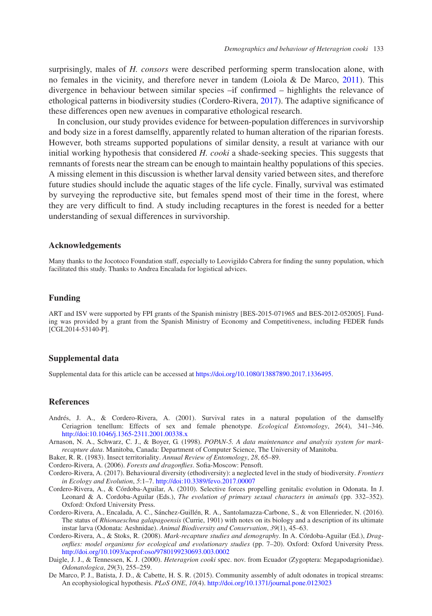surprisingly, males of *H. consors* were described performing sperm translocation alone, with no females in the vicinity, and therefore never in tandem (Loiola & De Marco, [2011\)](#page-11-19). This divergence in behaviour between similar species –if confirmed – highlights the relevance of ethological patterns in biodiversity studies (Cordero-Rivera, [2017\)](#page-10-2). The adaptive significance of these differences open new avenues in comparative ethological research.

In conclusion, our study provides evidence for between-population differences in survivorship and body size in a forest damselfly, apparently related to human alteration of the riparian forests. However, both streams supported populations of similar density, a result at variance with our initial working hypothesis that considered *H. cooki* a shade-seeking species. This suggests that remnants of forests near the stream can be enough to maintain healthy populations of this species. A missing element in this discussion is whether larval density varied between sites, and therefore future studies should include the aquatic stages of the life cycle. Finally, survival was estimated by surveying the reproductive site, but females spend most of their time in the forest, where they are very difficult to find. A study including recaptures in the forest is needed for a better understanding of sexual differences in survivorship.

## **Acknowledgements**

Many thanks to the Jocotoco Foundation staff, especially to Leovigildo Cabrera for finding the sunny population, which facilitated this study. Thanks to Andrea Encalada for logistical advices.

# **Funding**

ART and ISV were supported by FPI grants of the Spanish ministry [BES-2015-071965 and BES-2012-052005]. Funding was provided by a grant from the Spanish Ministry of Economy and Competitiveness, including FEDER funds  $[CGL2014-53140-P].$ 

# **Supplemental data**

Supplemental data for this article can be accessed at [https://doi.org/10.1080/13887890.2017.1336495.](https://doi.org/10.1080/13887890.2017.1336495)

## **References**

- <span id="page-10-6"></span>Andrés, J. A., & Cordero-Rivera, A. (2001). Survival rates in a natural population of the damselfly Ceriagrion tenellum: Effects of sex and female phenotype. *Ecological Entomology*, *26*(4), 341–346. <http://doi:10.1046/j.1365-2311.2001.00338.x>
- <span id="page-10-3"></span>Arnason, N. A., Schwarz, C. J., & Boyer, G. (1998). *POPAN-5. A data maintenance and analysis system for markrecapture data*. Manitoba, Canada: Department of Computer Science, The University of Manitoba.
- Baker, R. R. (1983). Insect territoriality. *Annual Review of Entomology*, *28*, 65–89.
- <span id="page-10-5"></span>Cordero-Rivera, A. (2006). *Forests and dragonflies*. Sofia-Moscow: Pensoft.
- <span id="page-10-2"></span><span id="page-10-0"></span>Cordero-Rivera, A. (2017). Behavioural diversity (ethodiversity): a neglected level in the study of biodiversity. *Frontiers in Ecology and Evolution*, *5*:1–7. <http://doi:10.3389/fevo.2017.00007>
- <span id="page-10-8"></span>Cordero-Rivera, A., & Córdoba-Aguilar, A. (2010). Selective forces propelling genitalic evolution in Odonata. In J. Leonard & A. Cordoba-Aguilar (Eds.), *The evolution of primary sexual characters in animals* (pp. 332–352). Oxford: Oxford University Press.
- Cordero-Rivera, A., Encalada, A. C., Sánchez-Guillén, R. A., Santolamazza-Carbone, S., & von Ellenrieder, N. (2016). The status of *Rhionaeschna galapagoensis* (Currie, 1901) with notes on its biology and a description of its ultimate instar larva (Odonata: Aeshnidae). *Animal Biodiversity and Conservation*, *39*(1), 45–63.
- <span id="page-10-4"></span>Cordero-Rivera, A., & Stoks, R. (2008). *Mark-recapture studies and demography*. In A. Córdoba-Aguilar (Ed.), *Dragonflies: model organisms for ecological and evolutionary studies* (pp. 7–20). Oxford: Oxford University Press. <http://doi.org/10.1093/acprof:oso/9780199230693.003.0002>
- <span id="page-10-1"></span>Daigle, J. J., & Tennessen, K. J. (2000). *Heteragrion cooki* spec. nov. from Ecuador (Zygoptera: Megapodagrionidae). *Odonatologica*, *29*(3), 255–259.
- <span id="page-10-7"></span>De Marco, P. J., Batista, J. D., & Cabette, H. S. R. (2015). Community assembly of adult odonates in tropical streams: An ecophysiological hypothesis. *PLoS ONE*, *10*(4). <http://doi.org/10.1371/journal.pone.0123023>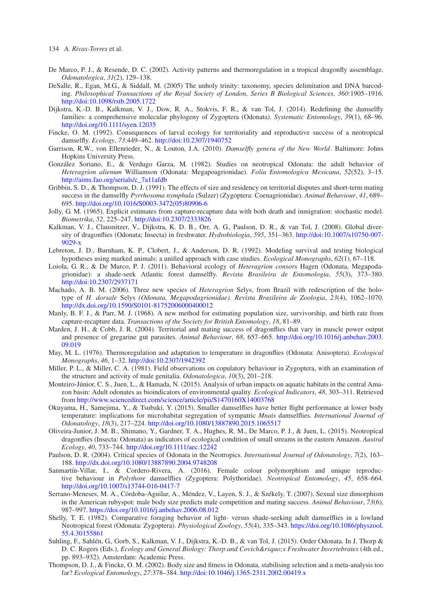- <span id="page-11-20"></span>De Marco, P. J., & Resende, D. C. (2002). Activity patterns and thermoregulation in a tropical dragonfly assemblage. *Odonatologica*, *31*(2), 129–138.
- <span id="page-11-6"></span>DeSalle, R., Egan, M.G., & Siddall, M. (2005) The unholy trinity: taxonomy, species delimitation and DNA barcoding. *Philosophical Transactions of the Royal Society of London, Series B Biological Sciences*, *360*:1905–1916. <http://doi:10.1098/rstb.2005.1722>
- <span id="page-11-5"></span>Dijkstra, K.-D. B., Kalkman, V. J., Dow, R. A., Stokvis, F. R., & van Tol, J. (2014). Redefining the damselfly families: a comprehensive molecular phylogeny of Zygoptera (Odonata). *Systematic Entomology*, *39*(1), 68–96. <http://doi.org/10.1111/syen.12035>
- <span id="page-11-22"></span>Fincke, O. M. (1992). Consequences of larval ecology for territoriality and reproductive success of a neotropical damselfly. *Ecology*, *73*:449–462. <http://doi:10.2307/1940752>
- <span id="page-11-4"></span>Garrison, R.W., von Ellenrieder, N., & Louton, J.A. (2010). *Damselfly genera of the New World*. Baltimore: Johns Hopkins University Press.
- <span id="page-11-8"></span>González Soriano, E., & Verdugo Garza, M. (1982). Studies on neotropical Odonata: the adult behavior of *Heteragrion alienum* Williamson (Odonata: Megapoagrionidae). *Folia Entomologica Mexicana*, *52*(52), 3–15. [http://aims.fao.org/serials/c\\_7a11afdb](http://aims.fao.org/serials/c_7a11afdb)
- <span id="page-11-21"></span>Gribbin, S. D., & Thompson, D. J. (1991). The effects of size and residency on territorial disputes and short-term mating success in the damselfly *Pyrrhosoma nymphula* (Sulzer) (Zygoptera: Coenagrionidae). *Animal Behaviour*, *41*, 689– 695. [http://doi.org/10.1016/S0003-3472\(05\)80906-6](http://doi.org/10.1016/S0003-3472(05)80906-6)
- <span id="page-11-10"></span>Jolly, G. M. (1965). Explicit estimates from capture-recapture data with both death and inmigration: stochastic model. *Biometrika*, *52*, 225–247. <http://doi:10.2307/2333826>
- <span id="page-11-1"></span>Kalkman, V. J., Clausnitzer, V., Dijkstra, K. D. B., Orr, A. G., Paulson, D. R., & van Tol, J. (2008). Global diversity of dragonflies (Odonata; Insecta) in freshwater. *Hydrobiologia*, *595*, 351–363. [http://doi:10.1007/s10750-007-](http://doi:10.1007/s10750-007-9029-x) [9029-x](http://doi:10.1007/s10750-007-9029-x)
- Lebreton, J. D., Burnham, K. P., Clobert, J., & Anderson, D. R. (1992). Modeling survival and testing biological hypotheses using marked animals: a unified approach with case studies. *Ecological Monographs*, *62*(1), 67–118.
- <span id="page-11-19"></span>Loiola, G. R., & De Marco, P. J. (2011). Behavioral ecology of *Heteragrion consors* Hagen (Odonata, Megapodagrionidae): a shade-seek Atlantic forest damselfly. *Revista Brasileira de Entomologia*, *55*(3), 373–380. <http://doi:10.2307/2937171>
- <span id="page-11-3"></span>Machado, A. B. M. (2006). Three new species of *Heteragrion* Selys, from Brazil with redescription of the holotype of *H. dorsale* Selys *(Odonata, Megapodagrionidae). Revista Brasileira de Zoologia*, *23*(4), 1062–1070. <http://dx.doi.org/10.1590/S0101-81752006000400012>
- <span id="page-11-11"></span>Manly, B. F. J., & Parr, M. J. (1968). A new method for estimating population size, survivorship, and birth rate from capture-recapture data. *Transactions of the Society for British Entomology*, *18*, 81–89.
- <span id="page-11-17"></span>Marden, J. H., & Cobb, J. R. (2004). Territorial and mating success of dragonflies that vary in muscle power output and presence of gregarine gut parasites. *Animal Behaviour*, *68*, 657–665. [http://doi.org/10.1016/j.anbehav.2003.](http://doi.org/10.1016/j.anbehav.2003.09.019) [09.019](http://doi.org/10.1016/j.anbehav.2003.09.019)
- May, M. L. (1976). Thermoregulation and adaptation to temperature in dragonflies (Odonata: Anisoptera). *Ecological Monographs*, *46*, 1–32. <http://doi:10.2307/1942392>
- <span id="page-11-12"></span>Miller, P. L., & Miller, C. A. (1981). Field observations on copulatory behaviour in Zygoptera, with an examination of the structure and activity of male genitalia. *Odonatologica*, *10*(3), 201–218.
- <span id="page-11-7"></span>Monteiro-Júnior, C. S., Juen, L., & Hamada, N. (2015). Analysis of urban impacts on aquatic habitats in the central Amazon basin: Adult odonates as bioindicators of environmental quality. *Ecological Indicators*, *48*, 303–311. Retrieved from <http://www.sciencedirect.com/science/article/pii/S1470160X14003768>
- <span id="page-11-16"></span>Okuyama, H., Samejima, Y., & Tsubaki, Y. (2015). Smaller damselflies have better flight performance at lower body temperature: implications for microhabitat segregation of sympatric *Mnais* damselflies. *International Journal of Odonatology*, *18*(3), 217–224. <http://doi.org/10.1080/13887890.2015.1065517>
- <span id="page-11-18"></span>Oliveira-Junior, J. M. B., Shimano, Y., Gardner, T. A., Hughes, R. M., De Marco, P. J., & Juen, L. (2015). Neotropical dragonflies (Insecta: Odonata) as indicators of ecological condition of small streams in the eastern Amazon. *Austral Ecology*, *40*, 733–744. <http://doi.org/10.1111/aec.12242>
- <span id="page-11-2"></span>Paulson, D. R. (2004). Critical species of Odonata in the Neotropics. *International Journal of Odonatology*, *7*(2), 163– 188. <http://dx.doi.org/10.1080/13887890.2004.9748208>
- <span id="page-11-13"></span>Sanmartín-Villar, I., & Cordero-Rivera, A. (2016). Female colour polymorphism and unique reproductive behaviour in *Polythore* damselflies (Zygoptera: Polythoridae). *Neotropical Entomology*, *45*, 658–664. <http://doi.org/10.1007/s13744-016-0417-7>
- <span id="page-11-14"></span>Serrano-Meneses, M. A., Córdoba-Aguilar, A., Méndez, V., Layen, S. J., & Székely, T. (2007). Sexual size dimorphism in the American rubyspot: male body size predicts male competition and mating success. *Animal Behaviour*, *73*(6), 987–997. <https://doi.org/10.1016/j.anbehav.2006.08.012>
- <span id="page-11-9"></span>Shelly, T. E. (1982). Comparative foraging behavior of light- versus shade-seeking adult damselflies in a lowland Neotropical forest (Odonata: Zygoptera). *Physiological Zoology*, *55*(4), 335–343. [https://doi.org/10.1086/physzool.](https://doi.org/10.1086/physzool.55.4.30155861) [55.4.30155861](https://doi.org/10.1086/physzool.55.4.30155861)
- <span id="page-11-0"></span>Suhling, F., Sahlén, G., Gorb, S., Kalkman, V. J., Dijkstra, K.-D. B., & van Tol, J. (2015). Order Odonata. In J. Thorp & D. C. Rogers (Eds.), *Ecology and General Biology: Thorp and Covich's Freshwater Invertebrates* (4th ed., pp. 893–932). Amsterdam: Academic Press.
- <span id="page-11-15"></span>Thompson, D. J., & Fincke, O. M. (2002). Body size and fitness in Odonata, stabilising selection and a meta-analysis too far? *Ecological Entomology*, *27*:378–384. <http://doi:10.1046/j.1365-2311.2002.00419.x>